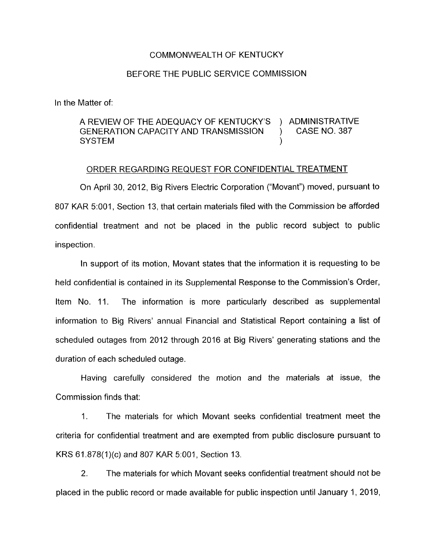## COMMONWEALTH OF KENTUCKY

## BEFORE THE PUBLIC SERVICE COMMISSION

In the Matter of:

## A REVIEW OF THE ADEQUACY OF KENTUCKY'S ) ADMINISTRATIVE GENERATION CAPACITY AND TRANSMISSION ) CASE NO. 387 SYSTEM and the system of the system of the system of the system of the system of the system of the system of the system of the system of the system of the system of the system of the system of the system of the system of t

## ORDER REGARDING REQUEST FOR CONFIDENTIAL TREATMENT

On April 30, 2012, Big Rivers Electric Corporation ("Movant") moved, pursuant to 807 KAR 5:OOl , Section 13, that certain materials filed with the Commission be afforded confidential treatment and not be placed in the public record subject to public inspection.

In support of its motion, Movant states that the information it is requesting to be held confidential is contained in its Supplemental Response to the Commission's Order, Item No. 11. The information is more particularly described as supplemental information to Big Rivers' annual Financial and Statistical Report containing a list of scheduled outages from 2012 through 2016 at Big Rivers' generating stations and the duration of each scheduled outage.

Having carefully considered the motion and the materials at issue, the Commission finds that:

1. The materials for which Movant seeks confidential treatment meet the criteria for confidential treatment and are exempted from public disclosure pursuant to KRS 61.878(1)(c) and 807 KAR 5:001, Section 13.

2. The materials for which Movant seeks confidential treatment should not be placed in the public record or made available for public inspection until January 1, 2019,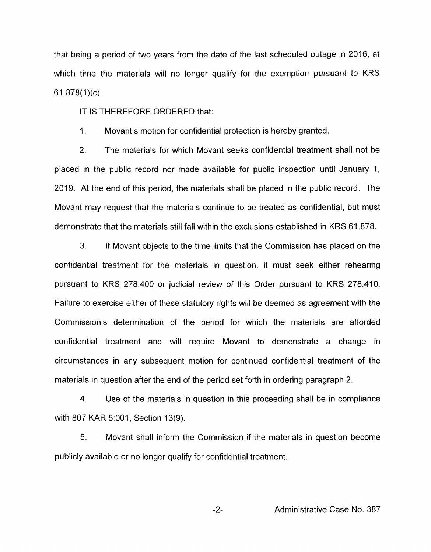that being a period of two years from the date of the last scheduled outage in 2016, at which time the materials will no longer qualify for the exemption pursuant to KRS 61.878(1)(c).

IT IS THEREFORE ORDERED that:

1. Movant's motion for confidential protection is hereby granted.

2. The materials for which Movant seeks confidential treatment shall not be placed in the public record nor made available for public inspection until January 1, 2019. At the end of this period, the materials shall be placed in the public record. The Movant may request that the materials continue to be treated as confidential, but must demonstrate that the materials still fall within the exclusions established in KRS 61.878.

**3.** If Movant objects to the time limits that the Commission has placed on the confidential treatment for the materials in question, it must seek either rehearing pursuant to KRS 278.400 or judicial review of this Order pursuant to KRS 278.410. Failure to exercise either of these statutory rights will be deemed as agreement with the Commission's determination of the period for which the materials are afforded confidential treatment and will require Movant to demonstrate a change in circumstances in any subsequent motion for continued confidential treatment of the materials in question after the end of the period set forth in ordering paragraph 2.

4. Use of the materials in question in this proceeding shall be in compliance with 807 KAR 5:001, Section 13(9).

5. Movant shall inform the Commission if the materials in question become publicly available or no longer qualify for confidential treatment.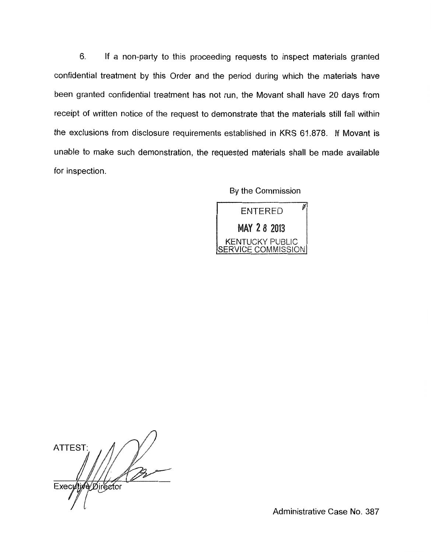6. If a non-party to this proceeding requests to inspect materials granted confidential treatment by this Order and the period during which the materials have been granted confidential treatment has not run, the Movant shall have 20 days from receipt of written notice of the request to demonstrate that the materials still fall within the exclusions from disclosure requirements established in KRS 61.878. If Movant is unable to make such demonstration, the requested materials shall be made available for inspection.

By the Commission

Ø **ENTERED MAY 2 8 2013 KENTUCKY PUBLIC** SERVICE COMMISSION

ATTEST: Executive Director

Administrative Case No. 387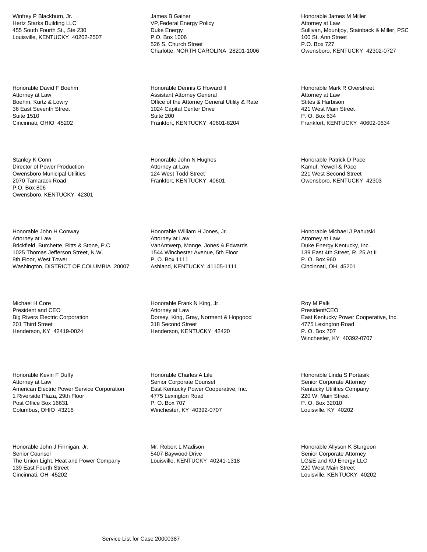Winfrey P Blackburn, Jr. Hertz Starks Building LLC 455 South Fourth St., Ste 230 Louisville, KENTUCKY 40202-2507

Honorable David F Boehm Attorney at Law Boehm, Kurtz & Lowry 36 East Seventh Street Suite 1510 Cincinnati, OHIO 45202

Stanley K Conn Director of Power Production Owensboro Municipal Utilities 2070 Tamarack Road P.O. Box 806 Owensboro, KENTUCKY 42301

Honorable John H Conway Attorney at Law Brickfield, Burchette, Ritts & Stone, P.C. 1025 Thomas Jefferson Street, N.W. 8th Floor, West Tower Washington, DISTRICT OF COLUMBIA 20007

Michael H Core President and CEO Big Rivers Electric Corporation 201 Third Street Henderson, KY 42419-0024

Honorable Kevin F Duffy Attorney at Law American Electric Power Service Corporation 1 Riverside Plaza, 29th Floor Post Office Box 16631 Columbus, OHIO 43216

Honorable John J Finnigan, Jr. Senior Counsel The Union Light, Heat and Power Company 139 East Fourth Street Cincinnati, OH 45202

James B Gainer VP,Federal Energy Policy Duke Energy P.O. Box 1006 526 S. Church Street Charlotte, NORTH CAROLINA 28201-1006

Honorable Dennis G Howard II Assistant Attorney General Office of the Attorney General Utility & Rate 1024 Capital Center Drive Suite 200 Frankfort, KENTUCKY 40601-8204

Honorable John N Hughes Attorney at Law 124 West Todd Street Frankfort, KENTUCKY 40601

Honorable William H Jones, Jr. Attorney at Law VanAntwerp, Monge, Jones & Edwards 1544 Winchester Avenue, 5th Floor P. O. Box 1111 Ashland, KENTUCKY 41105-1111

Honorable Frank N King, Jr. Attorney at Law Dorsey, King, Gray, Norment & Hopgood 318 Second Street Henderson, KENTUCKY 42420

Honorable Charles A Lile Senior Corporate Counsel East Kentucky Power Cooperative, Inc. 4775 Lexington Road P. O. Box 707 Winchester, KY 40392-0707

Mr. Robert L Madison 5407 Baywood Drive Louisville, KENTUCKY 40241-1318

Honorable James M Miller Attorney at Law Sullivan, Mountjoy, Stainback & Miller, PSC 100 St. Ann Street P.O. Box 727 Owensboro, KENTUCKY 42302-0727

Honorable Mark R Overstreet Attorney at Law Stites & Harbison 421 West Main Street P. O. Box 634 Frankfort, KENTUCKY 40602-0634

Honorable Patrick D Pace Kamuf, Yewell & Pace 221 West Second Street Owensboro, KENTUCKY 42303

Honorable Michael J Pahutski Attorney at Law Duke Energy Kentucky, Inc. 139 East 4th Street, R. 25 At II P. O. Box 960 Cincinnati, OH 45201

Roy M Palk President/CEO East Kentucky Power Cooperative, Inc. 4775 Lexington Road P. O. Box 707 Winchester, KY 40392-0707

Honorable Linda S Portasik Senior Corporate Attorney Kentucky Utilities Company 220 W. Main Street P. O. Box 32010 Louisville, KY 40202

Honorable Allyson K Sturgeon Senior Corporate Attorney LG&E and KU Energy LLC 220 West Main Street Louisville, KENTUCKY 40202